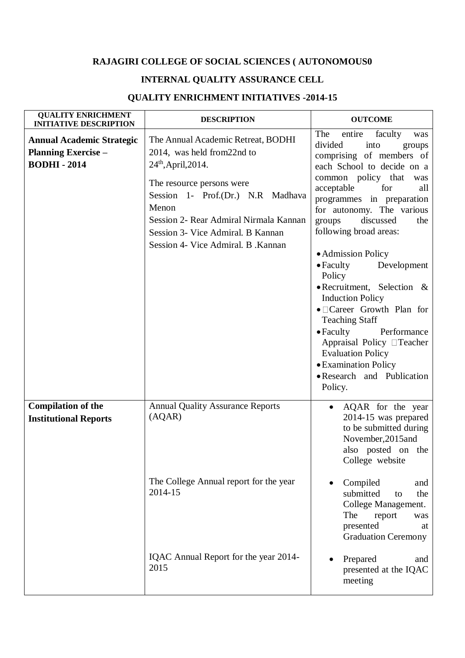## **RAJAGIRI COLLEGE OF SOCIAL SCIENCES ( AUTONOMOUS0**

## **INTERNAL QUALITY ASSURANCE CELL**

## **QUALITY ENRICHMENT INITIATIVES -2014-15**

| <b>QUALITY ENRICHMENT</b><br><b>INITIATIVE DESCRIPTION</b>                          | <b>DESCRIPTION</b>                                                                                                                                                                                                                                                                         | <b>OUTCOME</b>                                                                                                                                                                                                                                                                                                                                                                                                                                                                                                                                                                                                                                                    |
|-------------------------------------------------------------------------------------|--------------------------------------------------------------------------------------------------------------------------------------------------------------------------------------------------------------------------------------------------------------------------------------------|-------------------------------------------------------------------------------------------------------------------------------------------------------------------------------------------------------------------------------------------------------------------------------------------------------------------------------------------------------------------------------------------------------------------------------------------------------------------------------------------------------------------------------------------------------------------------------------------------------------------------------------------------------------------|
| <b>Annual Academic Strategic</b><br><b>Planning Exercise -</b><br><b>BODHI-2014</b> | The Annual Academic Retreat, BODHI<br>2014, was held from 22nd to<br>$24th$ , April, 2014.<br>The resource persons were<br>Session 1- Prof.(Dr.) N.R Madhava<br>Menon<br>Session 2- Rear Admiral Nirmala Kannan<br>Session 3- Vice Admiral. B Kannan<br>Session 4- Vice Admiral. B. Kannan | The<br>entire<br>faculty<br>was<br>divided<br>into<br>groups<br>comprising of members of<br>each School to decide on a<br>common policy that<br>was<br>acceptable<br>for<br>all<br>programmes in preparation<br>for autonomy. The various<br>discussed<br>groups<br>the<br>following broad areas:<br>• Admission Policy<br>$\bullet$ Faculty<br>Development<br>Policy<br>• Recruitment, Selection &<br><b>Induction Policy</b><br>$\bullet$ $\Box$ Career Growth Plan for<br><b>Teaching Staff</b><br>$\bullet$ Faculty<br>Performance<br>Appraisal Policy □ Teacher<br><b>Evaluation Policy</b><br>• Examination Policy<br>• Research and Publication<br>Policy. |
| <b>Compilation of the</b><br><b>Institutional Reports</b>                           | <b>Annual Quality Assurance Reports</b><br>(AQAR)<br>The College Annual report for the year<br>2014-15                                                                                                                                                                                     | AQAR for the year<br>$2014-15$ was prepared<br>to be submitted during<br>November, 2015 and<br>also posted on the<br>College website<br>Compiled<br>and<br>submitted<br>the<br>to<br>College Management.<br>The<br>report<br>was<br>presented<br>at<br><b>Graduation Ceremony</b>                                                                                                                                                                                                                                                                                                                                                                                 |
|                                                                                     | IQAC Annual Report for the year 2014-<br>2015                                                                                                                                                                                                                                              | Prepared<br>and<br>presented at the IQAC<br>meeting                                                                                                                                                                                                                                                                                                                                                                                                                                                                                                                                                                                                               |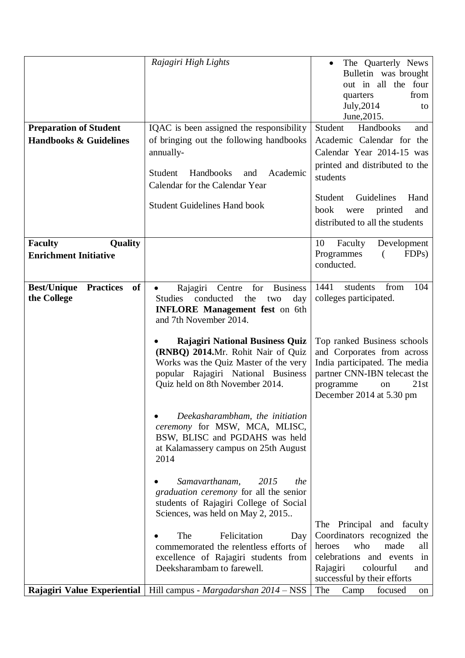|                                              | Rajagiri High Lights                                                         | The Quarterly News                                        |
|----------------------------------------------|------------------------------------------------------------------------------|-----------------------------------------------------------|
|                                              |                                                                              | Bulletin was brought                                      |
|                                              |                                                                              | out in all the four                                       |
|                                              |                                                                              | from<br>quarters                                          |
|                                              |                                                                              | July, 2014<br>to                                          |
|                                              |                                                                              | June, 2015.                                               |
| <b>Preparation of Student</b>                | IQAC is been assigned the responsibility                                     | Handbooks<br>Student<br>and                               |
| <b>Handbooks &amp; Guidelines</b>            |                                                                              | Academic Calendar for the                                 |
|                                              | of bringing out the following handbooks                                      |                                                           |
|                                              | annually-                                                                    | Calendar Year 2014-15 was                                 |
|                                              | Student<br>Handbooks<br>Academic<br>and                                      | printed and distributed to the                            |
|                                              |                                                                              | students                                                  |
|                                              | Calendar for the Calendar Year                                               |                                                           |
|                                              | <b>Student Guidelines Hand book</b>                                          | Student<br>Guidelines<br>Hand                             |
|                                              |                                                                              | printed<br>book<br>were<br>and                            |
|                                              |                                                                              | distributed to all the students                           |
|                                              |                                                                              |                                                           |
| <b>Faculty</b><br><b>Quality</b>             |                                                                              | 10<br>Faculty<br>Development                              |
| <b>Enrichment Initiative</b>                 |                                                                              | Programmes<br>FDP <sub>s</sub> )<br>(                     |
|                                              |                                                                              | conducted.                                                |
|                                              |                                                                              |                                                           |
| <b>Best/Unique</b><br><b>Practices</b><br>of | Rajagiri<br>for<br><b>Business</b><br>Centre                                 | 1441<br>students<br>from<br>104                           |
| the College                                  | conducted<br>the<br>day<br><b>Studies</b><br>two                             | colleges participated.                                    |
|                                              | <b>INFLORE Management fest on 6th</b>                                        |                                                           |
|                                              | and 7th November 2014.                                                       |                                                           |
|                                              |                                                                              |                                                           |
|                                              | <b>Rajagiri National Business Quiz</b><br>(RNBQ) 2014.Mr. Rohit Nair of Quiz | Top ranked Business schools<br>and Corporates from across |
|                                              | Works was the Quiz Master of the very                                        | India participated. The media                             |
|                                              | popular Rajagiri National Business                                           | partner CNN-IBN telecast the                              |
|                                              | Quiz held on 8th November 2014.                                              | 21st<br>programme<br>on                                   |
|                                              |                                                                              | December 2014 at 5.30 pm                                  |
|                                              |                                                                              |                                                           |
|                                              | Deekasharambham, the initiation                                              |                                                           |
|                                              | ceremony for MSW, MCA, MLISC,                                                |                                                           |
|                                              | BSW, BLISC and PGDAHS was held                                               |                                                           |
|                                              | at Kalamassery campus on 25th August                                         |                                                           |
|                                              | 2014                                                                         |                                                           |
|                                              |                                                                              |                                                           |
|                                              | Samavarthanam,<br>2015<br>the                                                |                                                           |
|                                              | graduation ceremony for all the senior                                       |                                                           |
|                                              | students of Rajagiri College of Social                                       |                                                           |
|                                              | Sciences, was held on May 2, 2015                                            |                                                           |
|                                              |                                                                              | The Principal and faculty                                 |
|                                              | Felicitation<br>The<br>Day                                                   | Coordinators recognized the                               |
|                                              | commemorated the relentless efforts of                                       | who<br>made<br>heroes<br>all                              |
|                                              | excellence of Rajagiri students from                                         | celebrations and events<br>in                             |
|                                              | Deeksharambam to farewell.                                                   | colourful<br>Rajagiri<br>and                              |
|                                              |                                                                              | successful by their efforts                               |
| Rajagiri Value Experiential                  | Hill campus - Margadarshan 2014 - NSS                                        | The<br>Camp<br>focused<br>on                              |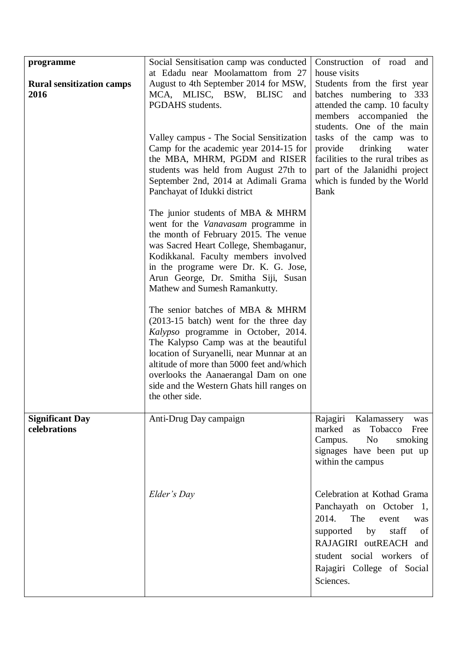| programme                                | Social Sensitisation camp was conducted                                                                                                                                                                                                                                                                                                                      | Construction of road and                                                                                                                                                                                                      |
|------------------------------------------|--------------------------------------------------------------------------------------------------------------------------------------------------------------------------------------------------------------------------------------------------------------------------------------------------------------------------------------------------------------|-------------------------------------------------------------------------------------------------------------------------------------------------------------------------------------------------------------------------------|
| <b>Rural sensitization camps</b><br>2016 | at Edadu near Moolamattom from 27<br>August to 4th September 2014 for MSW,<br>MCA, MLISC, BSW, BLISC<br>and<br>PGDAHS students.<br>Valley campus - The Social Sensitization<br>Camp for the academic year 2014-15 for                                                                                                                                        | house visits<br>Students from the first year<br>batches numbering to 333<br>attended the camp. 10 faculty<br>members accompanied the<br>students. One of the main<br>tasks of the camp was to<br>provide<br>drinking<br>water |
|                                          | the MBA, MHRM, PGDM and RISER<br>students was held from August 27th to<br>September 2nd, 2014 at Adimali Grama<br>Panchayat of Idukki district                                                                                                                                                                                                               | facilities to the rural tribes as<br>part of the Jalanidhi project<br>which is funded by the World<br><b>Bank</b>                                                                                                             |
|                                          | The junior students of MBA & MHRM<br>went for the Vanavasam programme in<br>the month of February 2015. The venue<br>was Sacred Heart College, Shembaganur,<br>Kodikkanal. Faculty members involved<br>in the programe were Dr. K. G. Jose,<br>Arun George, Dr. Smitha Siji, Susan<br>Mathew and Sumesh Ramankutty.                                          |                                                                                                                                                                                                                               |
|                                          | The senior batches of MBA & MHRM<br>(2013-15 batch) went for the three day<br>Kalypso programme in October, 2014.<br>The Kalypso Camp was at the beautiful<br>location of Suryanelli, near Munnar at an<br>altitude of more than 5000 feet and/which<br>overlooks the Aanaerangal Dam on one<br>side and the Western Ghats hill ranges on<br>the other side. |                                                                                                                                                                                                                               |
| <b>Significant Day</b><br>celebrations   | Anti-Drug Day campaign                                                                                                                                                                                                                                                                                                                                       | Rajagiri Kalamassery<br>was<br>Tobacco<br>marked as<br>Free<br>N <sub>o</sub><br>smoking<br>Campus.<br>signages have been put up<br>within the campus                                                                         |
|                                          | Elder's Day                                                                                                                                                                                                                                                                                                                                                  | Celebration at Kothad Grama<br>Panchayath on October 1,<br>2014.<br>The<br>event<br>was<br>by<br>staff<br>supported<br>of<br>RAJAGIRI outREACH and<br>student social workers of<br>Rajagiri College of Social<br>Sciences.    |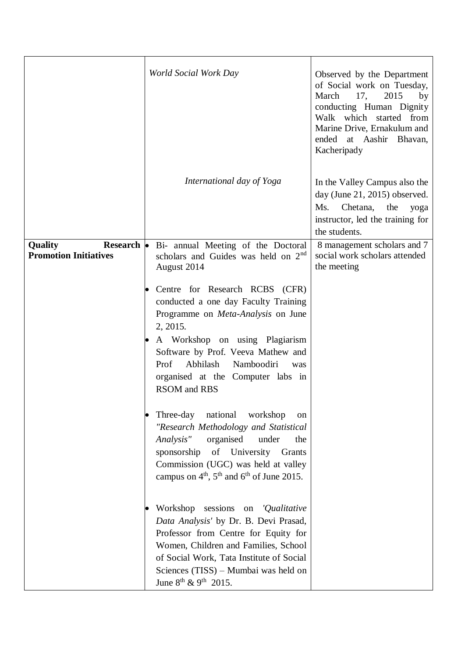|                                                       | <b>World Social Work Day</b>                                                                                                                                                                                                                                                                                 | Observed by the Department<br>of Social work on Tuesday,<br>17,<br>2015<br>March<br>by<br>conducting Human Dignity<br>Walk which started from<br>Marine Drive, Ernakulum and<br>ended at Aashir Bhavan,<br>Kacheripady |
|-------------------------------------------------------|--------------------------------------------------------------------------------------------------------------------------------------------------------------------------------------------------------------------------------------------------------------------------------------------------------------|------------------------------------------------------------------------------------------------------------------------------------------------------------------------------------------------------------------------|
|                                                       | International day of Yoga                                                                                                                                                                                                                                                                                    | In the Valley Campus also the<br>day (June 21, 2015) observed.<br>Chetana,<br>the<br>Ms.<br>yoga<br>instructor, led the training for<br>the students.                                                                  |
| Quality<br>Research •<br><b>Promotion Initiatives</b> | Bi- annual Meeting of the Doctoral<br>scholars and Guides was held on 2 <sup>nd</sup><br>August 2014                                                                                                                                                                                                         | 8 management scholars and 7<br>social work scholars attended<br>the meeting                                                                                                                                            |
|                                                       | Centre for Research RCBS (CFR)<br>conducted a one day Faculty Training<br>Programme on <i>Meta-Analysis</i> on June<br>2, 2015.<br>A Workshop on using Plagiarism<br>Software by Prof. Veeva Mathew and<br>Prof<br>Abhilash<br>Namboodiri<br>was<br>organised at the Computer labs in<br><b>RSOM</b> and RBS |                                                                                                                                                                                                                        |
|                                                       | Three-day<br>national<br>workshop<br>on<br>"Research Methodology and Statistical<br>Analysis"<br>organised<br>under<br>the<br>sponsorship<br>of University Grants<br>Commission (UGC) was held at valley<br>campus on $4th$ , $5th$ and $6th$ of June 2015.                                                  |                                                                                                                                                                                                                        |
|                                                       | Workshop sessions on 'Qualitative'<br>Data Analysis' by Dr. B. Devi Prasad,<br>Professor from Centre for Equity for<br>Women, Children and Families, School<br>of Social Work, Tata Institute of Social<br>Sciences (TISS) – Mumbai was held on<br>June $8^{th}$ & $9^{th}$ 2015.                            |                                                                                                                                                                                                                        |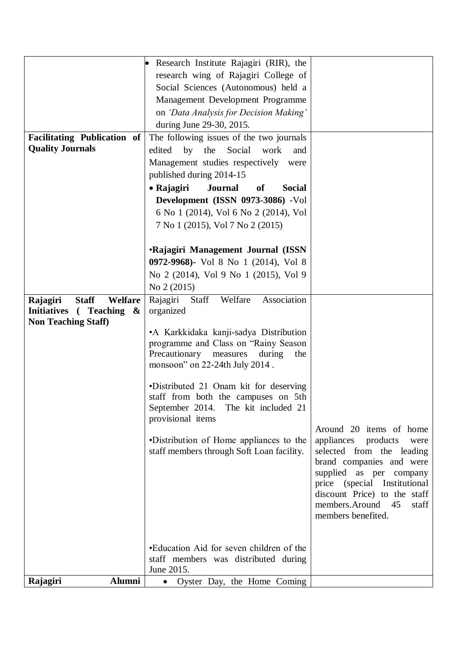|                                            | Research Institute Rajagiri (RIR), the              |                                                   |
|--------------------------------------------|-----------------------------------------------------|---------------------------------------------------|
|                                            | research wing of Rajagiri College of                |                                                   |
|                                            | Social Sciences (Autonomous) held a                 |                                                   |
|                                            | Management Development Programme                    |                                                   |
|                                            | on 'Data Analysis for Decision Making'              |                                                   |
|                                            | during June 29-30, 2015.                            |                                                   |
| <b>Facilitating Publication of</b>         | The following issues of the two journals            |                                                   |
| <b>Quality Journals</b>                    | edited<br>the<br>Social                             |                                                   |
|                                            | by<br>work<br>and                                   |                                                   |
|                                            | Management studies respectively<br>were             |                                                   |
|                                            | published during 2014-15                            |                                                   |
|                                            | • Rajagiri<br><b>Journal</b><br>of<br><b>Social</b> |                                                   |
|                                            | <b>Development (ISSN 0973-3086)</b> -Vol            |                                                   |
|                                            | 6 No 1 (2014), Vol 6 No 2 (2014), Vol               |                                                   |
|                                            | 7 No 1 (2015), Vol 7 No 2 (2015)                    |                                                   |
|                                            |                                                     |                                                   |
|                                            | <b>·Rajagiri Management Journal (ISSN</b>           |                                                   |
|                                            | 0972-9968)- Vol 8 No 1 (2014), Vol 8                |                                                   |
|                                            | No 2 (2014), Vol 9 No 1 (2015), Vol 9               |                                                   |
|                                            | No 2 (2015)                                         |                                                   |
| <b>Staff</b><br><b>Welfare</b><br>Rajagiri | Association<br>Rajagiri<br>Staff<br>Welfare         |                                                   |
| Initiatives (Teaching &                    | organized                                           |                                                   |
| <b>Non Teaching Staff)</b>                 |                                                     |                                                   |
|                                            | •A Karkkidaka kanji-sadya Distribution              |                                                   |
|                                            | programme and Class on "Rainy Season                |                                                   |
|                                            | Precautionary measures<br>during<br>the             |                                                   |
|                                            | monsoon" on 22-24th July 2014.                      |                                                   |
|                                            | •Distributed 21 Onam kit for deserving              |                                                   |
|                                            | staff from both the campuses on 5th                 |                                                   |
|                                            | September 2014. The kit included 21                 |                                                   |
|                                            | provisional items                                   |                                                   |
|                                            |                                                     | Around 20 items of home                           |
|                                            | •Distribution of Home appliances to the             | appliances<br>products<br>were                    |
|                                            | staff members through Soft Loan facility.           | selected from the leading                         |
|                                            |                                                     | brand companies and were                          |
|                                            |                                                     | supplied as per company                           |
|                                            |                                                     | price (special Institutional                      |
|                                            |                                                     | discount Price) to the staff                      |
|                                            |                                                     | members. Around 45<br>staff<br>members benefited. |
|                                            |                                                     |                                                   |
|                                            |                                                     |                                                   |
|                                            | •Education Aid for seven children of the            |                                                   |
|                                            | staff members was distributed during                |                                                   |
|                                            | June 2015.                                          |                                                   |
| Alumni<br>Rajagiri                         | • Oyster Day, the Home Coming                       |                                                   |